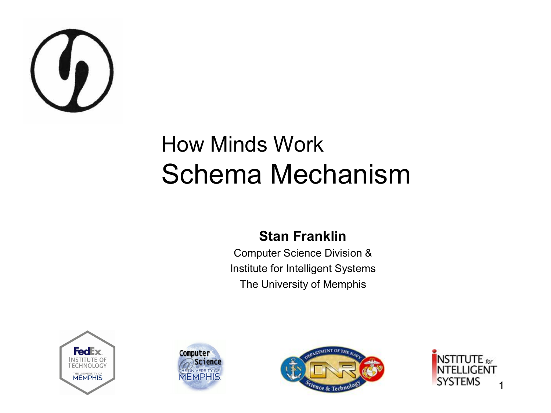

#### How Minds Work Schema Mechanism

#### **Stan Franklin**

Computer Science Division & Institute for Intelligent Systems The University of Memphis







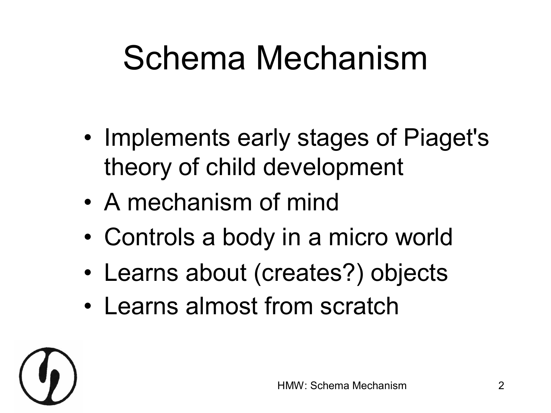#### Schema Mechanism

- Implements early stages of Piaget's theory of child development
- A mechanism of mind
- Controls a body in a micro world
- Learns about (creates?) objects
- Learns almost from scratch

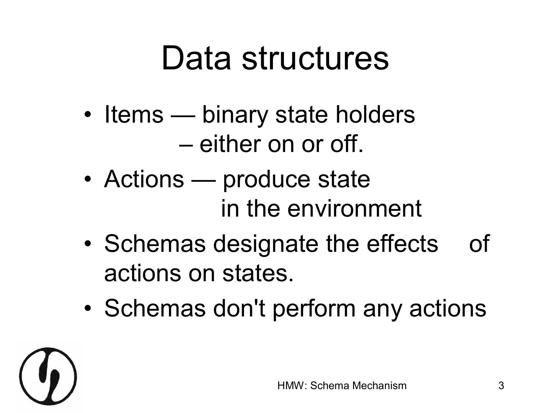#### Data structures

- Items binary state holders – either on or off.
- Actions produce state in the environment
- Schemas designate the effects of actions on states.
- Schemas don't perform any actions

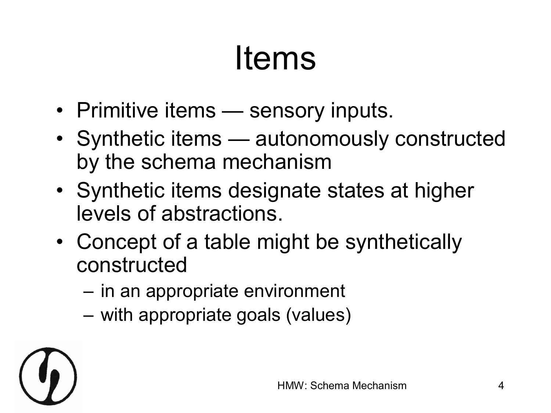#### Items

- Primitive items sensory inputs.
- Synthetic items autonomously constructed by the schema mechanism
- Synthetic items designate states at higher levels of abstractions.
- Concept of a table might be synthetically constructed
	- in an appropriate environment
	- with appropriate goals (values)

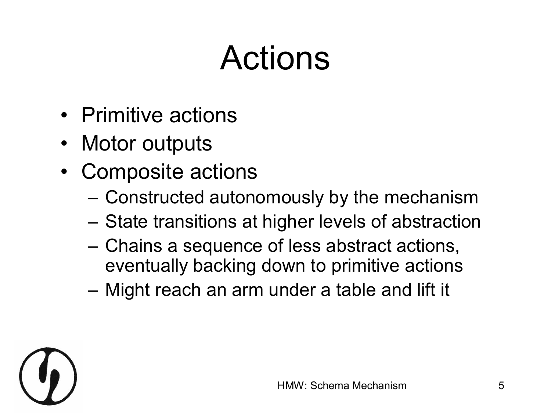#### Actions

- Primitive actions
- Motor outputs
- Composite actions
	- Constructed autonomously by the mechanism
	- State transitions at higher levels of abstraction
	- Chains a sequence of less abstract actions, eventually backing down to primitive actions
	- Might reach an arm under a table and lift it

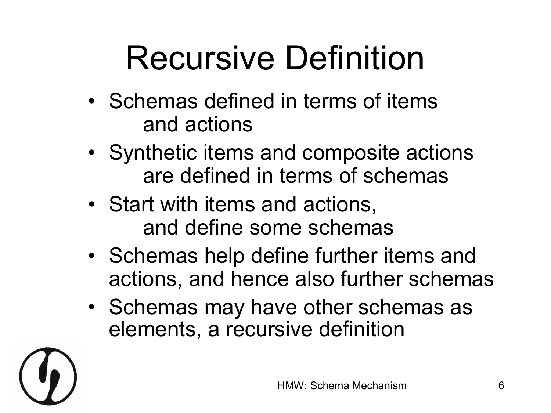### Recursive Definition

- Schemas defined in terms of items and actions
- Synthetic items and composite actions are defined in terms of schemas
- Start with items and actions, and define some schemas
- Schemas help define further items and actions, and hence also further schemas
- Schemas may have other schemas as elements, a recursive definition

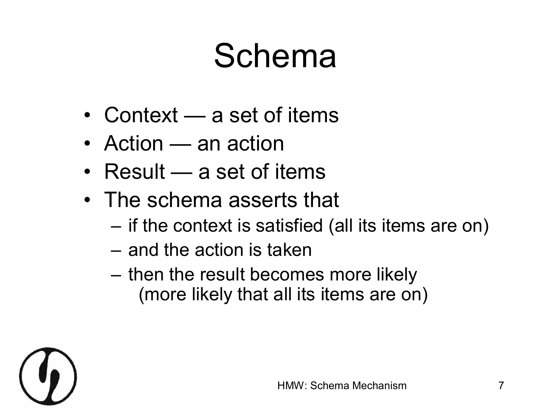#### Schema

- Context a set of items
- Action an action
- Result a set of items
- The schema asserts that
	- $-$  if the context is satisfied (all its items are on)
	- and the action is taken
	- then the result becomes more likely (more likely that all its items are on)

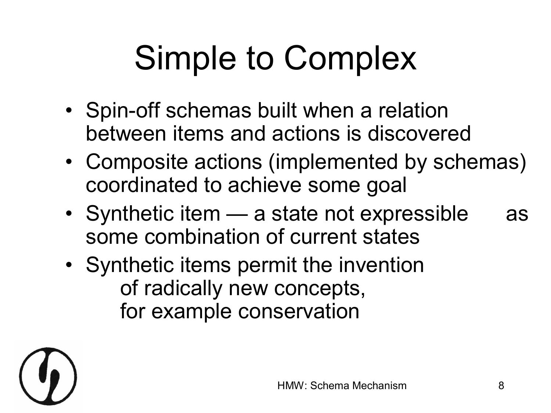# Simple to Complex

- Spin-off schemas built when a relation between items and actions is discovered
- Composite actions (implemented by schemas) coordinated to achieve some goal
- Synthetic item a state not expressible as some combination of current states
- Synthetic items permit the invention of radically new concepts, for example conservation

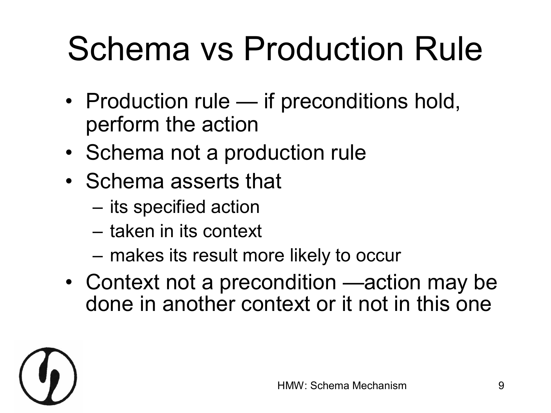# Schema vs Production Rule

- Production rule if preconditions hold, perform the action
- Schema not a production rule
- Schema asserts that
	- its specified action
	- taken in its context
	- makes its result more likely to occur
- Context not a precondition —action may be done in another context or it not in this one

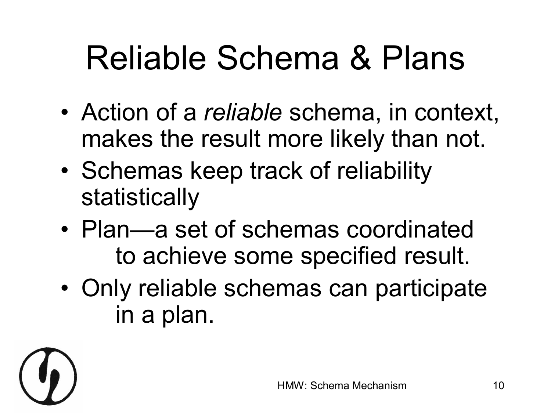# Reliable Schema & Plans

- Action of a *reliable* schema, in context, makes the result more likely than not.
- Schemas keep track of reliability statistically
- Plan—a set of schemas coordinated to achieve some specified result.
- Only reliable schemas can participate in a plan.

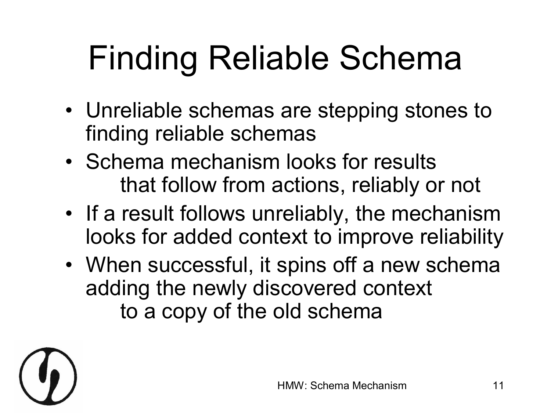# Finding Reliable Schema

- Unreliable schemas are stepping stones to finding reliable schemas
- Schema mechanism looks for results that follow from actions, reliably or not
- If a result follows unreliably, the mechanism looks for added context to improve reliability
- When successful, it spins off a new schema adding the newly discovered context to a copy of the old schema

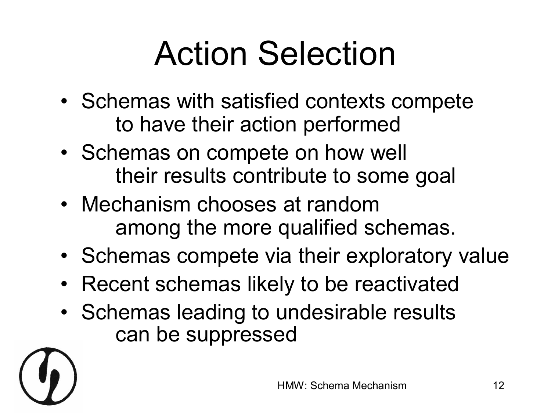# Action Selection

- Schemas with satisfied contexts compete to have their action performed
- Schemas on compete on how well their results contribute to some goal
- Mechanism chooses at random among the more qualified schemas.
- Schemas compete via their exploratory value
- Recent schemas likely to be reactivated
- Schemas leading to undesirable results can be suppressed

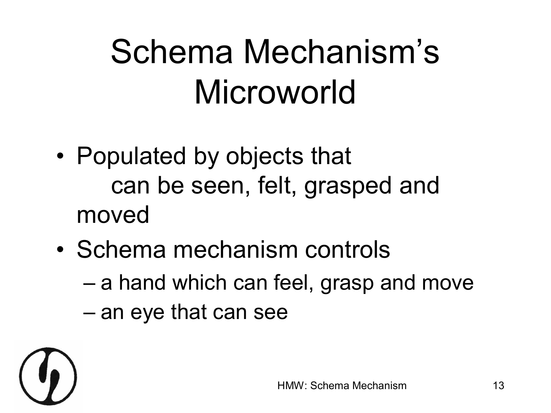### Schema Mechanism's Microworld

- Populated by objects that can be seen, felt, grasped and moved
- Schema mechanism controls
	- a hand which can feel, grasp and move
	- an eye that can see

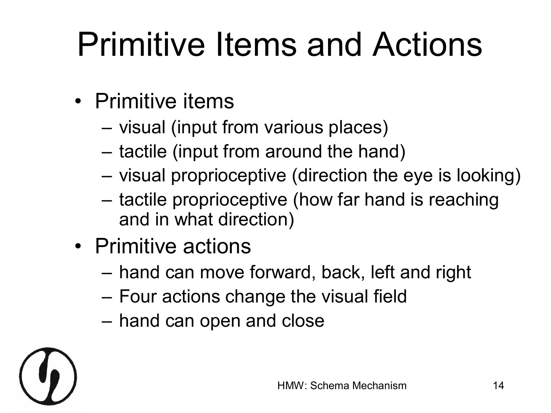# Primitive Items and Actions

- Primitive items
	- visual (input from various places)
	- tactile (input from around the hand)
	- visual proprioceptive (direction the eye is looking)
	- tactile proprioceptive (how far hand is reaching and in what direction)
- Primitive actions
	- hand can move forward, back, left and right
	- Four actions change the visual field
	- hand can open and close

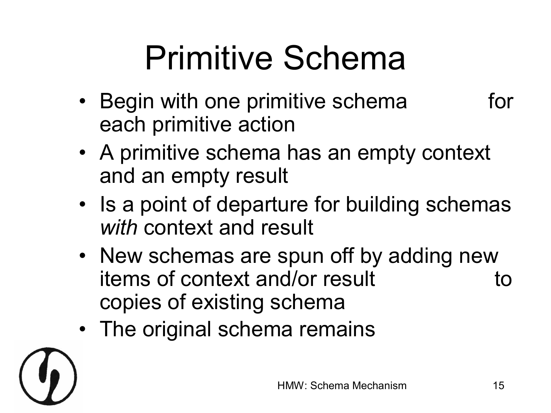### Primitive Schema

- Begin with one primitive schema for each primitive action
- A primitive schema has an empty context and an empty result
- Is a point of departure for building schemas *with* context and result
- New schemas are spun off by adding new items of context and/or result to copies of existing schema
- The original schema remains

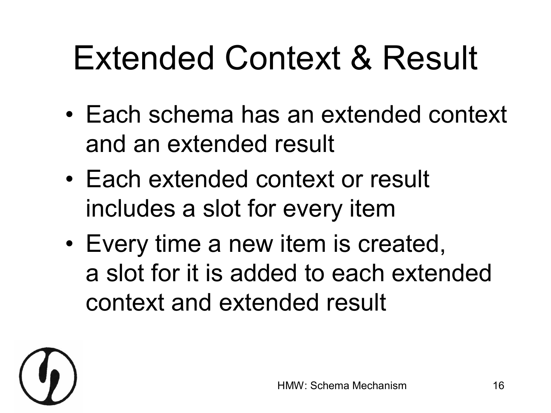#### Extended Context & Result

- Each schema has an extended context and an extended result
- Each extended context or result includes a slot for every item
- Every time a new item is created, a slot for it is added to each extended context and extended result

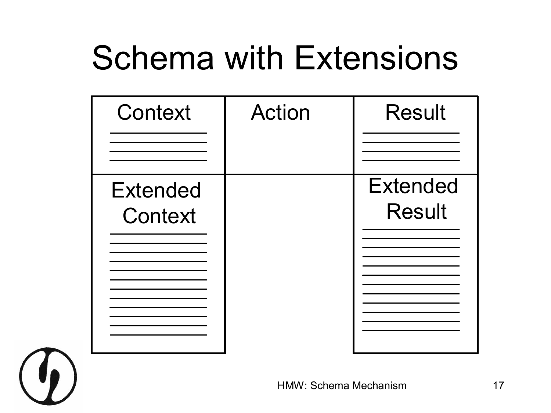#### Schema with Extensions

| Context                    | <b>Action</b> | <b>Result</b>                    |
|----------------------------|---------------|----------------------------------|
| <b>Extended</b><br>Context |               | <b>Extended</b><br><b>Result</b> |

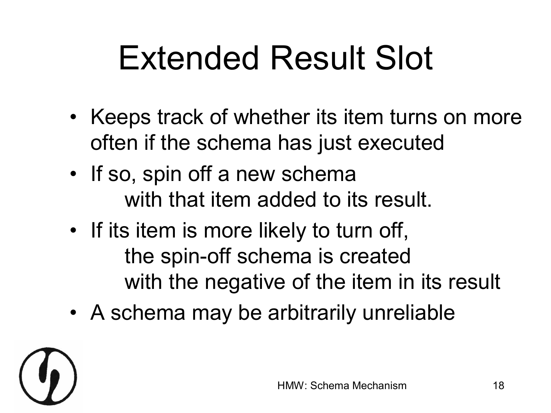### Extended Result Slot

- Keeps track of whether its item turns on more often if the schema has just executed
- If so, spin off a new schema with that item added to its result.
- If its item is more likely to turn off, the spin-off schema is created with the negative of the item in its result
- A schema may be arbitrarily unreliable

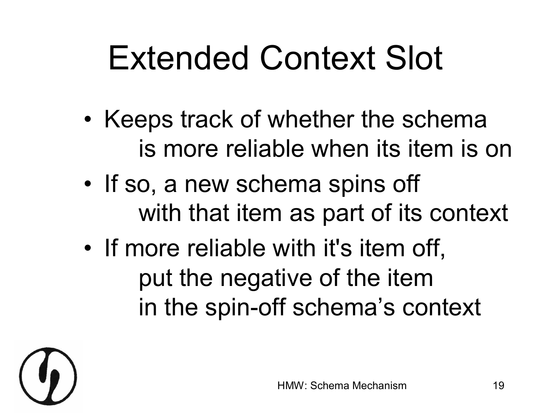#### Extended Context Slot

- Keeps track of whether the schema is more reliable when its item is on
- If so, a new schema spins off with that item as part of its context
- If more reliable with it's item off, put the negative of the item in the spin-off schema's context

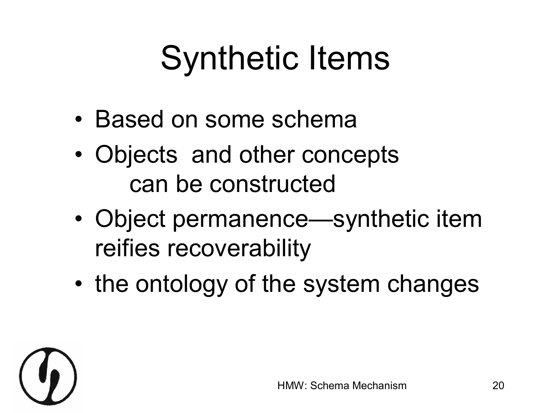#### Synthetic Items

- Based on some schema
- Objects and other concepts can be constructed
- Object permanence—synthetic item reifies recoverability
- the ontology of the system changes

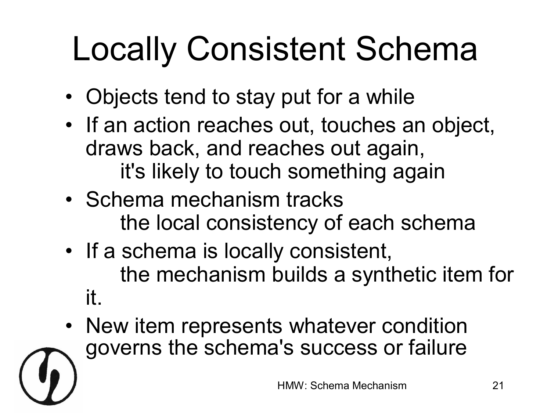# Locally Consistent Schema

- Objects tend to stay put for a while
- If an action reaches out, touches an object, draws back, and reaches out again, it's likely to touch something again
- Schema mechanism tracks the local consistency of each schema
- If a schema is locally consistent, the mechanism builds a synthetic item for it.
- New item represents whatever condition governs the schema's success or failure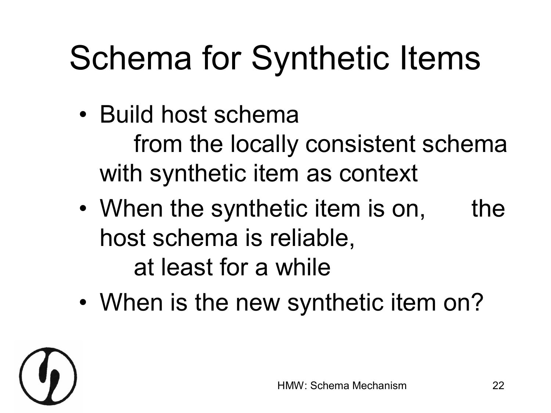# Schema for Synthetic Items

- Build host schema from the locally consistent schema with synthetic item as context
- When the synthetic item is on, the host schema is reliable, at least for a while
- When is the new synthetic item on?

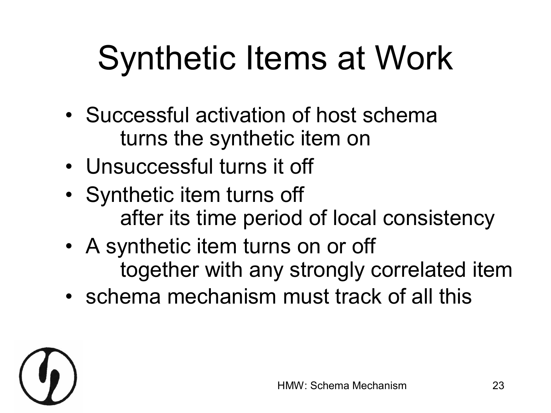# Synthetic Items at Work

- Successful activation of host schema turns the synthetic item on
- Unsuccessful turns it off
- Synthetic item turns off after its time period of local consistency
- A synthetic item turns on or off together with any strongly correlated item
- schema mechanism must track of all this

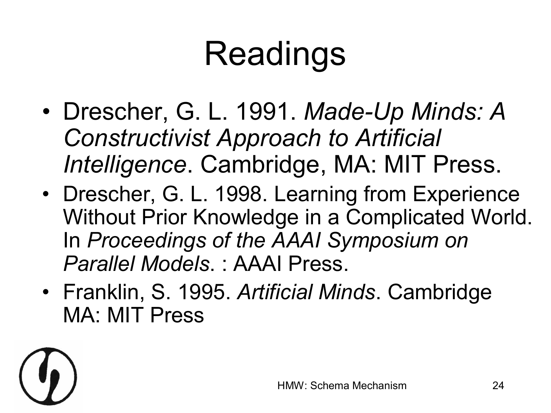# Readings

- Drescher, G. L. 1991. Made-Up Minds: A *Constructivist Approach to Artificial Intelligence*. Cambridge, MA: MIT Press.
- Drescher, G. L. 1998. Learning from Experience Without Prior Knowledge in a Complicated World. In *Proceedings of the AAAI Symposium on Parallel Models*. : AAAI Press.
- Franklin, S. 1995. *Artificial Minds*. Cambridge MA: MIT Press